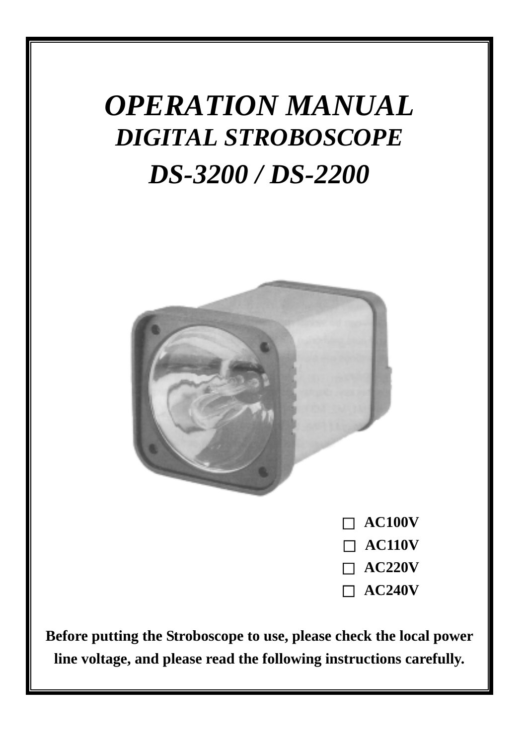# *OPERATION MANUAL DIGITAL STROBOSCOPE DS-3200 / DS-2200*



□ **AC100V** □ **AC110V** □ **AC220V** □ **AC240V**

**Before putting the Stroboscope to use, please check the local power line voltage, and please read the following instructions carefully.**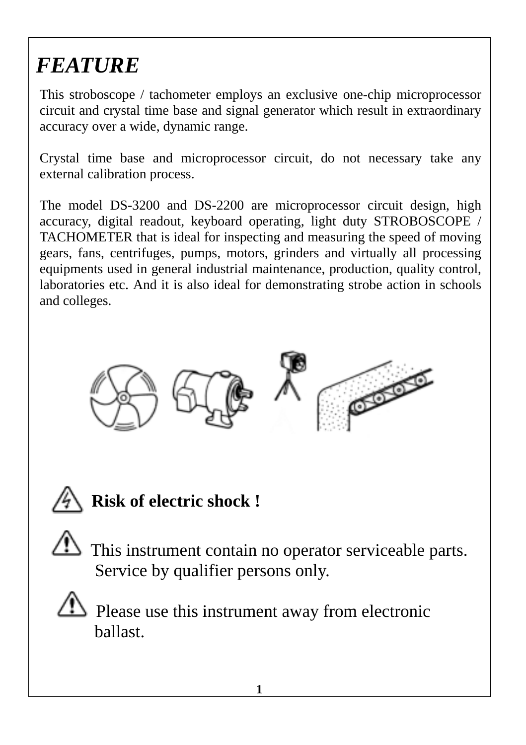# *FEATURE*

This stroboscope / tachometer employs an exclusive one-chip microprocessor circuit and crystal time base and signal generator which result in extraordinary accuracy over a wide, dynamic range.

Crystal time base and microprocessor circuit, do not necessary take any external calibration process.

The model DS-3200 and DS-2200 are microprocessor circuit design, high accuracy, digital readout, keyboard operating, light duty STROBOSCOPE / TACHOMETER that is ideal for inspecting and measuring the speed of moving gears, fans, centrifuges, pumps, motors, grinders and virtually all processing equipments used in general industrial maintenance, production, quality control, laboratories etc. And it is also ideal for demonstrating strobe action in schools and colleges.





## **Risk of electric shock !**

 This instrument contain no operator serviceable parts. Service by qualifier persons only.

 Please use this instrument away from electronic ballast.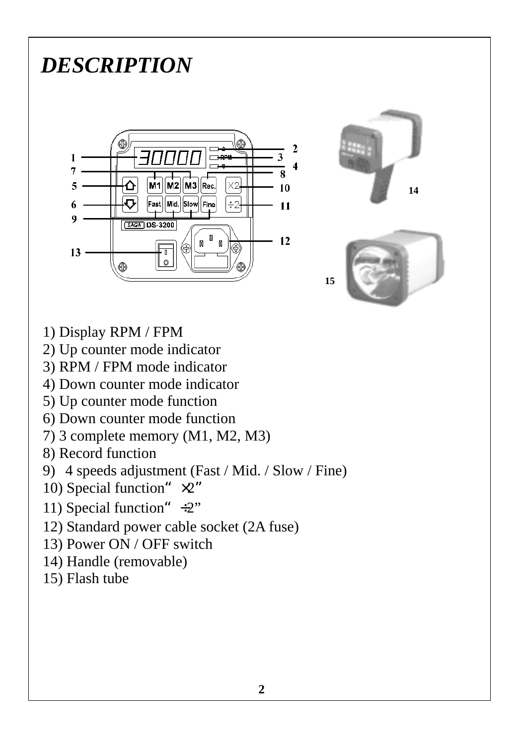# *DESCRIPTION*







- 1) Display RPM / FPM
- 2) Up counter mode indicator
- 3) RPM / FPM mode indicator
- 4) Down counter mode indicator
- 5) Up counter mode function
- 6) Down counter mode function
- 7) 3 complete memory (M1, M2, M3)
- 8) Record function
- 9) 4 speeds adjustment (Fast / Mid. / Slow / Fine)
- 10) Special function"  $\times 2$ "
- 11) Special function"  $\div 2$ "
- 12) Standard power cable socket (2A fuse)
- 13) Power ON / OFF switch
- 14) Handle (removable)
- 15) Flash tube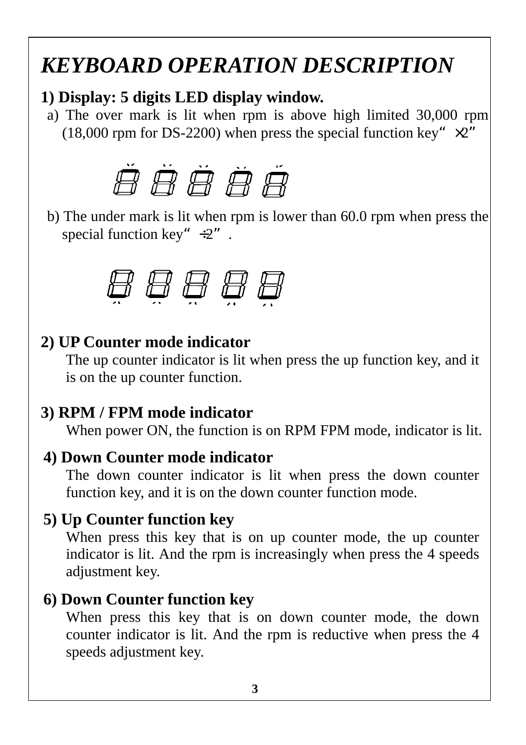## *KEYBOARD OPERATION DESCRIPTION*

#### **1) Display: 5 digits LED display window.**

a) The over mark is lit when rpm is above high limited 30,000 rpm (18,000 rpm for DS-2200) when press the special function key" $\times 2$ "



b) The under mark is lit when rpm is lower than 60.0 rpm when press the special function key"  $\div 2$ ".

$$
\theta \theta \theta \theta \theta
$$

#### **2) UP Counter mode indicator**

The up counter indicator is lit when press the up function key, and it is on the up counter function.

#### **3) RPM / FPM mode indicator**

When power ON, the function is on RPM FPM mode, indicator is lit.

#### **4) Down Counter mode indicator**

The down counter indicator is lit when press the down counter function key, and it is on the down counter function mode.

#### **5) Up Counter function key**

When press this key that is on up counter mode, the up counter indicator is lit. And the rpm is increasingly when press the 4 speeds adjustment key.

#### **6) Down Counter function key**

When press this key that is on down counter mode, the down counter indicator is lit. And the rpm is reductive when press the 4 speeds adjustment key.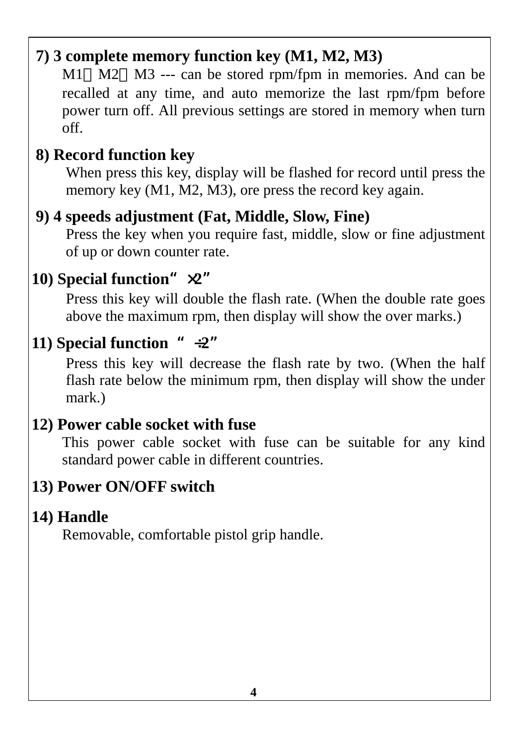### **7) 3 complete memory function key (M1, M2, M3)**

M1 M2 M3 --- can be stored rpm/fpm in memories. And can be recalled at any time, and auto memorize the last rpm/fpm before power turn off. All previous settings are stored in memory when turn off.

### **8) Record function key**

When press this key, display will be flashed for record until press the memory key (M1, M2, M3), ore press the record key again.

### **9) 4 speeds adjustment (Fat, Middle, Slow, Fine)**

Press the key when you require fast, middle, slow or fine adjustment of up or down counter rate.

### **10)** Special function<sup>"</sup> $\times 2$ "

Press this key will double the flash rate. (When the double rate goes above the maximum rpm, then display will show the over marks.)

### **11)** Special function  $* \div 2$

Press this key will decrease the flash rate by two. (When the half flash rate below the minimum rpm, then display will show the under mark.)

#### **12) Power cable socket with fuse**

This power cable socket with fuse can be suitable for any kind standard power cable in different countries.

### **13) Power ON/OFF switch**

### **14) Handle**

Removable, comfortable pistol grip handle.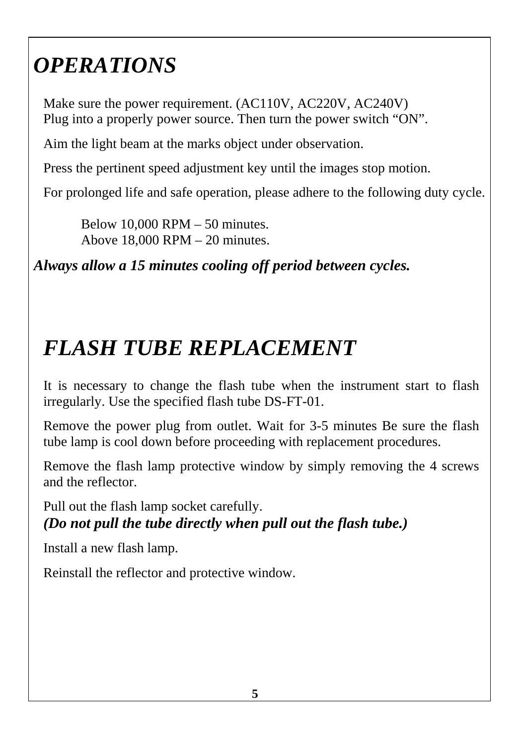# *OPERATIONS*

Make sure the power requirement. (AC110V, AC220V, AC240V) Plug into a properly power source. Then turn the power switch "ON".

Aim the light beam at the marks object under observation.

Press the pertinent speed adjustment key until the images stop motion.

For prolonged life and safe operation, please adhere to the following duty cycle.

Below 10,000 RPM – 50 minutes. Above 18,000 RPM – 20 minutes.

*Always allow a 15 minutes cooling off period between cycles.* 

# *FLASH TUBE REPLACEMENT*

It is necessary to change the flash tube when the instrument start to flash irregularly. Use the specified flash tube DS-FT-01.

Remove the power plug from outlet. Wait for 3-5 minutes Be sure the flash tube lamp is cool down before proceeding with replacement procedures.

Remove the flash lamp protective window by simply removing the 4 screws and the reflector.

Pull out the flash lamp socket carefully. *(Do not pull the tube directly when pull out the flash tube.)*

Install a new flash lamp.

Reinstall the reflector and protective window.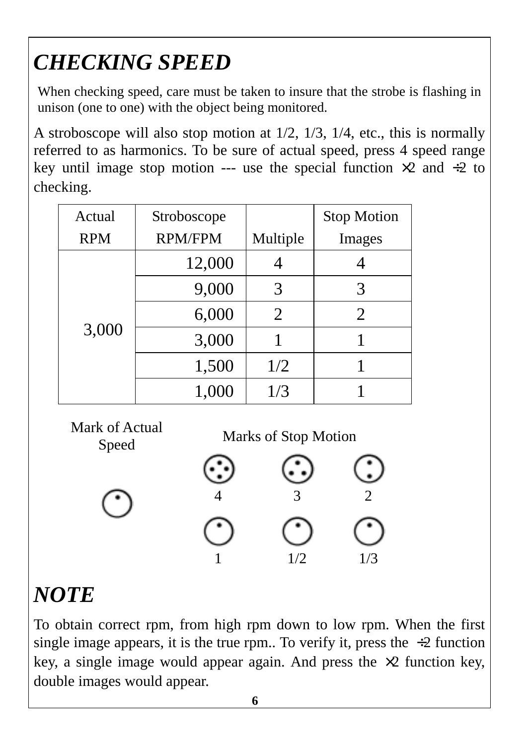# *CHECKING SPEED*

When checking speed, care must be taken to insure that the strobe is flashing in unison (one to one) with the object being monitored.

A stroboscope will also stop motion at 1/2, 1/3, 1/4, etc., this is normally referred to as harmonics. To be sure of actual speed, press 4 speed range key until image stop motion --- use the special function  $\times 2$  and  $\div 2$  to checking.

| Actual     | Stroboscope    |          | <b>Stop Motion</b> |
|------------|----------------|----------|--------------------|
| <b>RPM</b> | <b>RPM/FPM</b> | Multiple | Images             |
| 3,000      | 12,000         |          |                    |
|            | 9,000          | 3        | 3                  |
|            | 6,000          | 2        | $\overline{2}$     |
|            | 3,000          |          |                    |
|            | 1,500          | 1/2      |                    |
|            | 1,000          | 1/3      |                    |

Mark of Actual

Speed Marks of Stop Motion



# *NOTE*

To obtain correct rpm, from high rpm down to low rpm. When the first single image appears, it is the true rpm.. To verify it, press the  $\div 2$  function key, a single image would appear again. And press the  $\times 2$  function key, double images would appear.